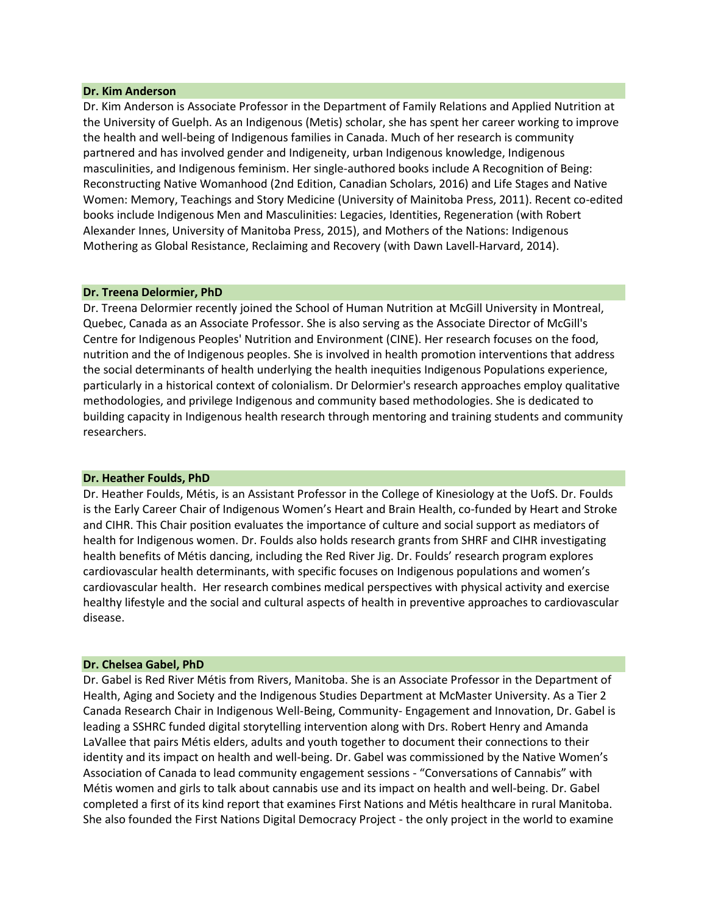#### **Dr. Kim Anderson**

Dr. Kim Anderson is Associate Professor in the Department of Family Relations and Applied Nutrition at the University of Guelph. As an Indigenous (Metis) scholar, she has spent her career working to improve the health and well-being of Indigenous families in Canada. Much of her research is community partnered and has involved gender and Indigeneity, urban Indigenous knowledge, Indigenous masculinities, and Indigenous feminism. Her single-authored books include A Recognition of Being: Reconstructing Native Womanhood (2nd Edition, Canadian Scholars, 2016) and Life Stages and Native Women: Memory, Teachings and Story Medicine (University of Mainitoba Press, 2011). Recent co-edited books include Indigenous Men and Masculinities: Legacies, Identities, Regeneration (with Robert Alexander Innes, University of Manitoba Press, 2015), and Mothers of the Nations: Indigenous Mothering as Global Resistance, Reclaiming and Recovery (with Dawn Lavell-Harvard, 2014).

#### **Dr. Treena Delormier, PhD**

Dr. Treena Delormier recently joined the School of Human Nutrition at McGill University in Montreal, Quebec, Canada as an Associate Professor. She is also serving as the Associate Director of McGill's Centre for Indigenous Peoples' Nutrition and Environment (CINE). Her research focuses on the food, nutrition and the of Indigenous peoples. She is involved in health promotion interventions that address the social determinants of health underlying the health inequities Indigenous Populations experience, particularly in a historical context of colonialism. Dr Delormier's research approaches employ qualitative methodologies, and privilege Indigenous and community based methodologies. She is dedicated to building capacity in Indigenous health research through mentoring and training students and community researchers.

#### **Dr. Heather Foulds, PhD**

Dr. Heather Foulds, Métis, is an Assistant Professor in the College of Kinesiology at the UofS. Dr. Foulds is the Early Career Chair of Indigenous Women's Heart and Brain Health, co-funded by Heart and Stroke and CIHR. This Chair position evaluates the importance of culture and social support as mediators of health for Indigenous women. Dr. Foulds also holds research grants from SHRF and CIHR investigating health benefits of Métis dancing, including the Red River Jig. Dr. Foulds' research program explores cardiovascular health determinants, with specific focuses on Indigenous populations and women's cardiovascular health. Her research combines medical perspectives with physical activity and exercise healthy lifestyle and the social and cultural aspects of health in preventive approaches to cardiovascular disease.

#### **Dr. Chelsea Gabel, PhD**

Dr. Gabel is Red River Métis from Rivers, Manitoba. She is an Associate Professor in the Department of Health, Aging and Society and the Indigenous Studies Department at McMaster University. As a Tier 2 Canada Research Chair in Indigenous Well-Being, Community- Engagement and Innovation, Dr. Gabel is leading a SSHRC funded digital storytelling intervention along with Drs. Robert Henry and Amanda LaVallee that pairs Métis elders, adults and youth together to document their connections to their identity and its impact on health and well-being. Dr. Gabel was commissioned by the Native Women's Association of Canada to lead community engagement sessions - "Conversations of Cannabis" with Métis women and girls to talk about cannabis use and its impact on health and well-being. Dr. Gabel completed a first of its kind report that examines First Nations and Métis healthcare in rural Manitoba. She also founded the First Nations Digital Democracy Project - the only project in the world to examine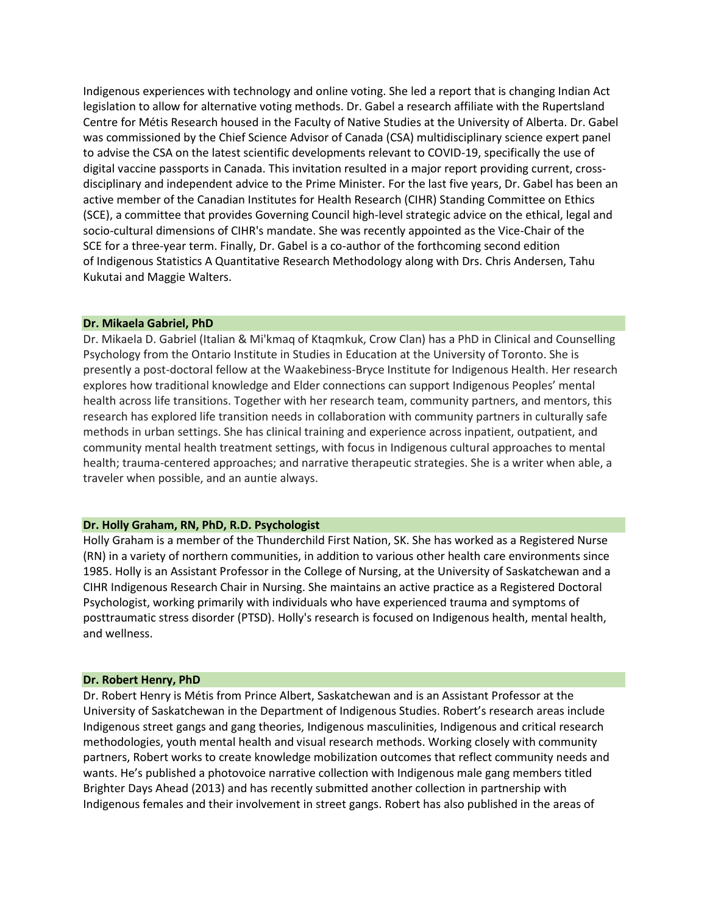Indigenous experiences with technology and online voting. She led a report that is changing Indian Act legislation to allow for alternative voting methods. Dr. Gabel a research affiliate with the Rupertsland Centre for Métis Research housed in the Faculty of Native Studies at the University of Alberta. Dr. Gabel was commissioned by the Chief Science Advisor of Canada (CSA) multidisciplinary science expert panel to advise the CSA on the latest scientific developments relevant to COVID-19, specifically the use of digital vaccine passports in Canada. This invitation resulted in a major report providing current, crossdisciplinary and independent advice to the Prime Minister. For the last five years, Dr. Gabel has been an active member of the Canadian Institutes for Health Research (CIHR) Standing Committee on Ethics (SCE), a committee that provides Governing Council high-level strategic advice on the ethical, legal and socio-cultural dimensions of CIHR's mandate. She was recently appointed as the Vice-Chair of the SCE for a three-year term. Finally, Dr. Gabel is a co-author of the forthcoming second edition of Indigenous Statistics A Quantitative Research Methodology along with Drs. Chris Andersen, Tahu Kukutai and Maggie Walters.

### **Dr. Mikaela Gabriel, PhD**

Dr. Mikaela D. Gabriel (Italian & Mi'kmaq of Ktaqmkuk, Crow Clan) has a PhD in Clinical and Counselling Psychology from the Ontario Institute in Studies in Education at the University of Toronto. She is presently a post-doctoral fellow at the Waakebiness-Bryce Institute for Indigenous Health. Her research explores how traditional knowledge and Elder connections can support Indigenous Peoples' mental health across life transitions. Together with her research team, community partners, and mentors, this research has explored life transition needs in collaboration with community partners in culturally safe methods in urban settings. She has clinical training and experience across inpatient, outpatient, and community mental health treatment settings, with focus in Indigenous cultural approaches to mental health; trauma-centered approaches; and narrative therapeutic strategies. She is a writer when able, a traveler when possible, and an auntie always.

## **Dr. Holly Graham, RN, PhD, R.D. Psychologist**

Holly Graham is a member of the Thunderchild First Nation, SK. She has worked as a Registered Nurse (RN) in a variety of northern communities, in addition to various other health care environments since 1985. Holly is an Assistant Professor in the College of Nursing, at the University of Saskatchewan and a CIHR Indigenous Research Chair in Nursing. She maintains an active practice as a Registered Doctoral Psychologist, working primarily with individuals who have experienced trauma and symptoms of posttraumatic stress disorder (PTSD). Holly's research is focused on Indigenous health, mental health, and wellness.

#### **Dr. Robert Henry, PhD**

Dr. Robert Henry is Métis from Prince Albert, Saskatchewan and is an Assistant Professor at the University of Saskatchewan in the Department of Indigenous Studies. Robert's research areas include Indigenous street gangs and gang theories, Indigenous masculinities, Indigenous and critical research methodologies, youth mental health and visual research methods. Working closely with community partners, Robert works to create knowledge mobilization outcomes that reflect community needs and wants. He's published a photovoice narrative collection with Indigenous male gang members titled Brighter Days Ahead (2013) and has recently submitted another collection in partnership with Indigenous females and their involvement in street gangs. Robert has also published in the areas of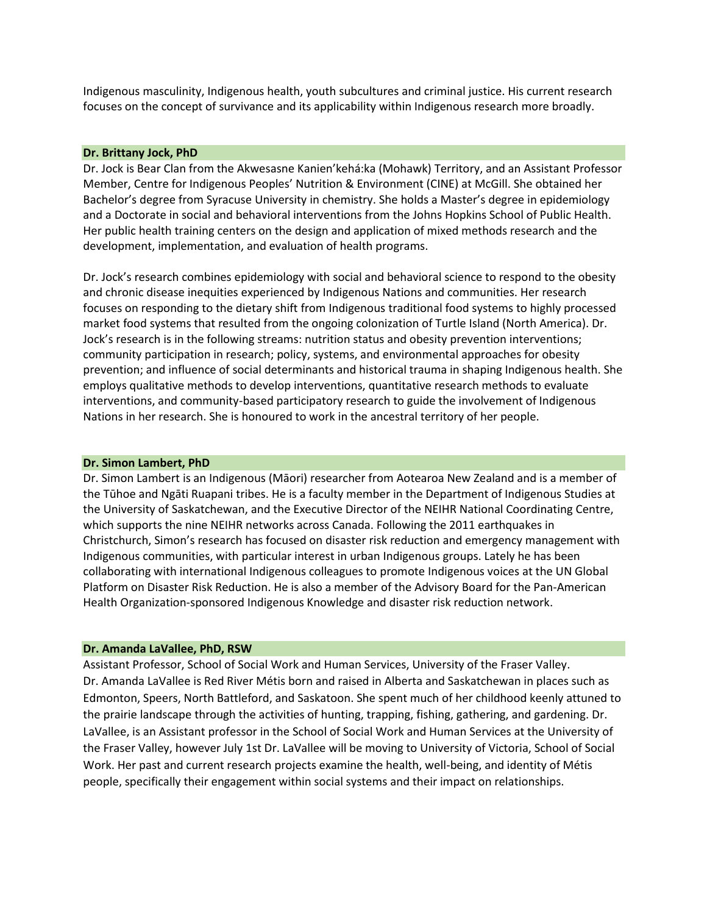Indigenous masculinity, Indigenous health, youth subcultures and criminal justice. His current research focuses on the concept of survivance and its applicability within Indigenous research more broadly.

### **Dr. Brittany Jock, PhD**

Dr. Jock is Bear Clan from the Akwesasne Kanien'kehá:ka (Mohawk) Territory, and an Assistant Professor Member, Centre for Indigenous Peoples' Nutrition & Environment (CINE) at McGill. She obtained her Bachelor's degree from Syracuse University in chemistry. She holds a Master's degree in epidemiology and a Doctorate in social and behavioral interventions from the Johns Hopkins School of Public Health. Her public health training centers on the design and application of mixed methods research and the development, implementation, and evaluation of health programs.

Dr. Jock's research combines epidemiology with social and behavioral science to respond to the obesity and chronic disease inequities experienced by Indigenous Nations and communities. Her research focuses on responding to the dietary shift from Indigenous traditional food systems to highly processed market food systems that resulted from the ongoing colonization of Turtle Island (North America). Dr. Jock's research is in the following streams: nutrition status and obesity prevention interventions; community participation in research; policy, systems, and environmental approaches for obesity prevention; and influence of social determinants and historical trauma in shaping Indigenous health. She employs qualitative methods to develop interventions, quantitative research methods to evaluate interventions, and community-based participatory research to guide the involvement of Indigenous Nations in her research. She is honoured to work in the ancestral territory of her people.

#### **Dr. Simon Lambert, PhD**

Dr. Simon Lambert is an Indigenous (Māori) researcher from Aotearoa New Zealand and is a member of the Tūhoe and Ngāti Ruapani tribes. He is a faculty member in the Department of Indigenous Studies at the University of Saskatchewan, and the Executive Director of the NEIHR National Coordinating Centre, which supports the nine NEIHR networks across Canada. Following the 2011 earthquakes in Christchurch, Simon's research has focused on [disaster risk reduction and emergency management with](https://www.indigenousdrr.com/)  [Indigenous communities,](https://www.indigenousdrr.com/) with particular interest in urban Indigenous groups. Lately he has been collaborating with international Indigenous colleagues to promote Indigenous voices at the UN Global Platform on Disaster Risk Reduction. He is also a member of the Advisory Board for the Pan-American Health Organization-sponsored [Indigenous Knowledge and disaster risk reduction network.](https://indigenousdrr.org/index.php/en/)

### **Dr. Amanda LaVallee, PhD, RSW**

Assistant Professor, School of Social Work and Human Services, University of the Fraser Valley. Dr. Amanda LaVallee is Red River Métis born and raised in Alberta and Saskatchewan in places such as Edmonton, Speers, North Battleford, and Saskatoon. She spent much of her childhood keenly attuned to the prairie landscape through the activities of hunting, trapping, fishing, gathering, and gardening. Dr. LaVallee, is an Assistant professor in the School of Social Work and Human Services at the University of the Fraser Valley, however July 1st Dr. LaVallee will be moving to University of Victoria, School of Social Work. Her past and current research projects examine the health, well-being, and identity of Métis people, specifically their engagement within social systems and their impact on relationships.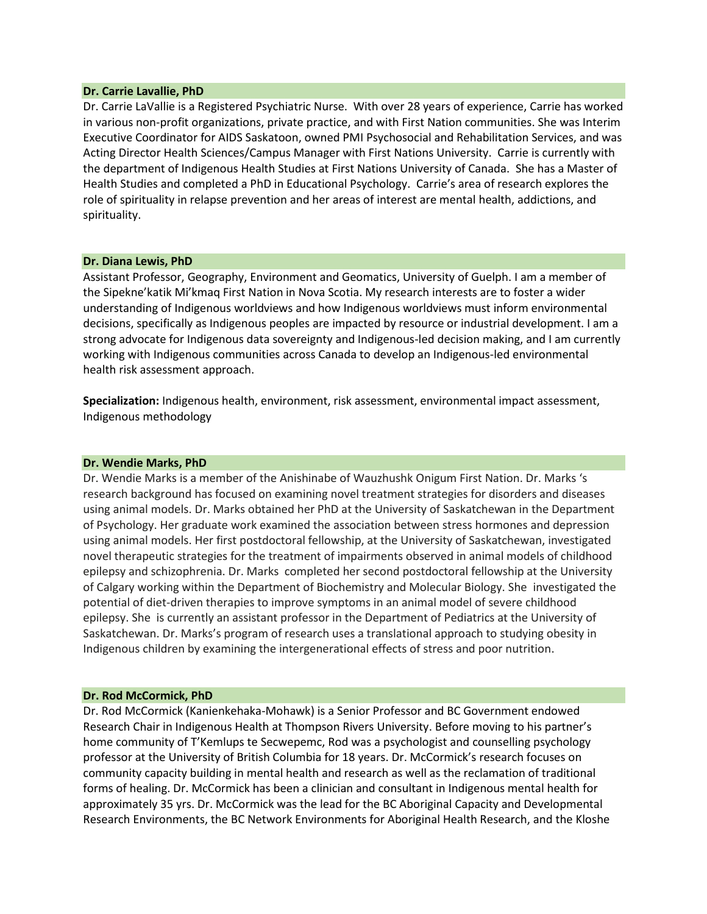### **Dr. Carrie Lavallie, PhD**

Dr. Carrie LaVallie is a Registered Psychiatric Nurse. With over 28 years of experience, Carrie has worked in various non-profit organizations, private practice, and with First Nation communities. She was Interim Executive Coordinator for AIDS Saskatoon, owned PMI Psychosocial and Rehabilitation Services, and was Acting Director Health Sciences/Campus Manager with First Nations University. Carrie is currently with the department of Indigenous Health Studies at First Nations University of Canada. She has a Master of Health Studies and completed a PhD in Educational Psychology. Carrie's area of research explores the role of spirituality in relapse prevention and her areas of interest are mental health, addictions, and spirituality.

### **Dr. Diana Lewis, PhD**

Assistant Professor, Geography, Environment and Geomatics, University of Guelph. I am a member of the Sipekne'katik Mi'kmaq First Nation in Nova Scotia. My research interests are to foster a wider understanding of Indigenous worldviews and how Indigenous worldviews must inform environmental decisions, specifically as Indigenous peoples are impacted by resource or industrial development. I am a strong advocate for Indigenous data sovereignty and Indigenous-led decision making, and I am currently working with Indigenous communities across Canada to develop an Indigenous-led environmental health risk assessment approach.

**Specialization:** Indigenous health, environment, risk assessment, environmental impact assessment, Indigenous methodology

### **Dr. Wendie Marks, PhD**

Dr. Wendie Marks is a member of the Anishinabe of Wauzhushk Onigum First Nation. Dr. Marks 's research background has focused on examining novel treatment strategies for disorders and diseases using animal models. Dr. Marks obtained her PhD at the University of Saskatchewan in the Department of Psychology. Her graduate work examined the association between stress hormones and depression using animal models. Her first postdoctoral fellowship, at the University of Saskatchewan, investigated novel therapeutic strategies for the treatment of impairments observed in animal models of childhood epilepsy and schizophrenia. Dr. Marks completed her second postdoctoral fellowship at the University of Calgary working within the Department of Biochemistry and Molecular Biology. She investigated the potential of diet-driven therapies to improve symptoms in an animal model of severe childhood epilepsy. She is currently an assistant professor in the Department of Pediatrics at the University of Saskatchewan. Dr. Marks's program of research uses a translational approach to studying obesity in Indigenous children by examining the intergenerational effects of stress and poor nutrition.

### **Dr. Rod McCormick, PhD**

Dr. Rod McCormick (Kanienkehaka-Mohawk) is a Senior Professor and BC Government endowed Research Chair in Indigenous Health at Thompson Rivers University. Before moving to his partner's home community of T'Kemlups te Secwepemc, Rod was a psychologist and counselling psychology professor at the University of British Columbia for 18 years. Dr. McCormick's research focuses on community capacity building in mental health and research as well as the reclamation of traditional forms of healing. Dr. McCormick has been a clinician and consultant in Indigenous mental health for approximately 35 yrs. Dr. McCormick was the lead for the BC Aboriginal Capacity and Developmental Research Environments, the BC Network Environments for Aboriginal Health Research, and the Kloshe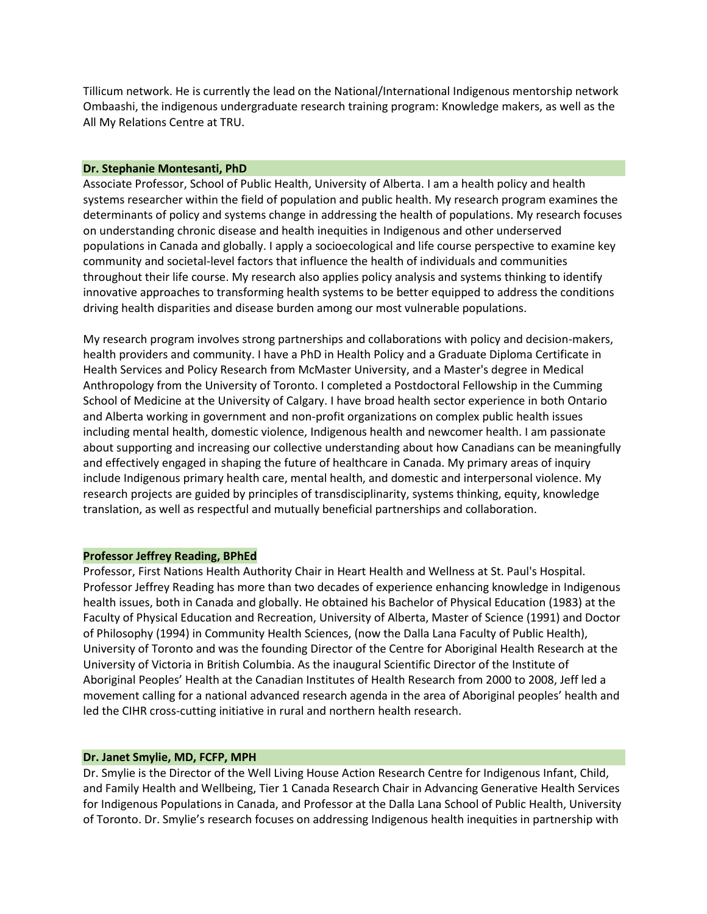Tillicum network. He is currently the lead on the National/International Indigenous mentorship network Ombaashi, the indigenous undergraduate research training program: Knowledge makers, as well as the All My Relations Centre at TRU.

## **Dr. Stephanie Montesanti, PhD**

Associate Professor, School of Public Health, University of Alberta. I am a health policy and health systems researcher within the field of population and public health. My research program examines the determinants of policy and systems change in addressing the health of populations. My research focuses on understanding chronic disease and health inequities in Indigenous and other underserved populations in Canada and globally. I apply a socioecological and life course perspective to examine key community and societal-level factors that influence the health of individuals and communities throughout their life course. My research also applies policy analysis and systems thinking to identify innovative approaches to transforming health systems to be better equipped to address the conditions driving health disparities and disease burden among our most vulnerable populations.

My research program involves strong partnerships and collaborations with policy and decision-makers, health providers and community. I have a PhD in Health Policy and a Graduate Diploma Certificate in Health Services and Policy Research from McMaster University, and a Master's degree in Medical Anthropology from the University of Toronto. I completed a Postdoctoral Fellowship in the Cumming School of Medicine at the University of Calgary. I have broad health sector experience in both Ontario and Alberta working in government and non-profit organizations on complex public health issues including mental health, domestic violence, Indigenous health and newcomer health. I am passionate about supporting and increasing our collective understanding about how Canadians can be meaningfully and effectively engaged in shaping the future of healthcare in Canada. My primary areas of inquiry include Indigenous primary health care, mental health, and domestic and interpersonal violence. My research projects are guided by principles of transdisciplinarity, systems thinking, equity, knowledge translation, as well as respectful and mutually beneficial partnerships and collaboration.

## **Professor Jeffrey Reading, BPhEd**

Professor, First Nations Health Authority Chair in Heart Health and Wellness at St. Paul's Hospital. Professor Jeffrey Reading has more than two decades of experience enhancing knowledge in Indigenous health issues, both in Canada and globally. He obtained his Bachelor of Physical Education (1983) at the Faculty of Physical Education and Recreation, University of Alberta, Master of Science (1991) and Doctor of Philosophy (1994) in Community Health Sciences, (now the Dalla Lana Faculty of Public Health), University of Toronto and was the founding Director of the Centre for Aboriginal Health Research at the University of Victoria in British Columbia. As the inaugural Scientific Director of the Institute of Aboriginal Peoples' Health at the Canadian Institutes of Health Research from 2000 to 2008, Jeff led a movement calling for a national advanced research agenda in the area of Aboriginal peoples' health and led the CIHR cross-cutting initiative in rural and northern health research.

# **Dr. Janet Smylie, MD, FCFP, MPH**

Dr. Smylie is the Director of the Well Living House Action Research Centre for Indigenous Infant, Child, and Family Health and Wellbeing, Tier 1 Canada Research Chair in Advancing Generative Health Services for Indigenous Populations in Canada, and Professor at the Dalla Lana School of Public Health, University of Toronto. Dr. Smylie's research focuses on addressing Indigenous health inequities in partnership with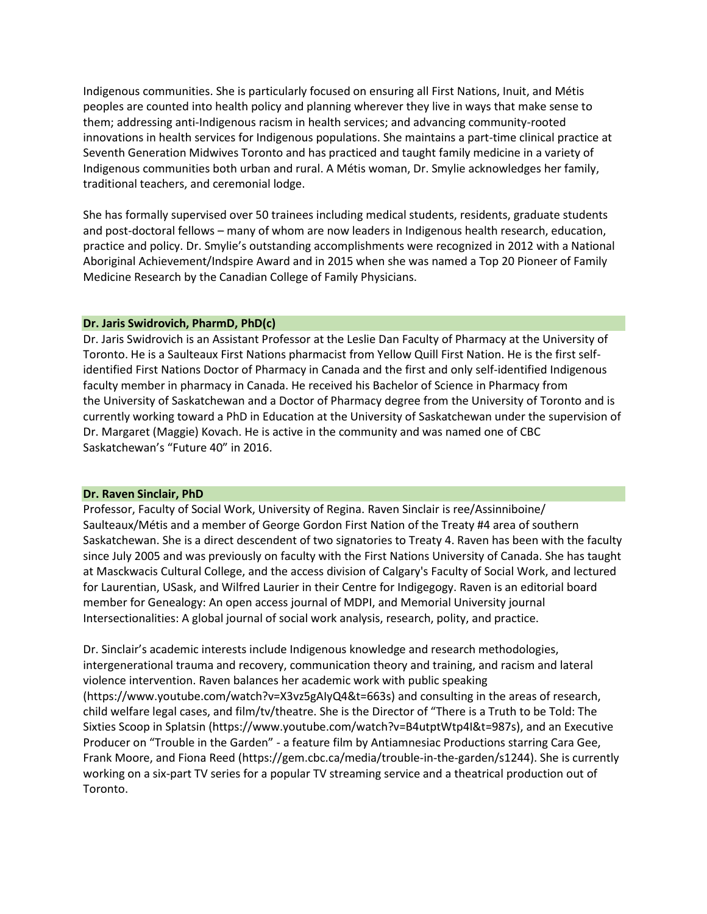Indigenous communities. She is particularly focused on ensuring all First Nations, Inuit, and Métis peoples are counted into health policy and planning wherever they live in ways that make sense to them; addressing anti-Indigenous racism in health services; and advancing community-rooted innovations in health services for Indigenous populations. She maintains a part-time clinical practice at Seventh Generation Midwives Toronto and has practiced and taught family medicine in a variety of Indigenous communities both urban and rural. A Métis woman, Dr. Smylie acknowledges her family, traditional teachers, and ceremonial lodge.

She has formally supervised over 50 trainees including medical students, residents, graduate students and post-doctoral fellows – many of whom are now leaders in Indigenous health research, education, practice and policy. Dr. Smylie's outstanding accomplishments were recognized in 2012 with a National Aboriginal Achievement/Indspire Award and in 2015 when she was named a Top 20 Pioneer of Family Medicine Research by the Canadian College of Family Physicians.

## **Dr. Jaris Swidrovich, PharmD, PhD(c)**

Dr. Jaris Swidrovich is an Assistant Professor at the Leslie Dan Faculty of Pharmacy at the University of Toronto. He is a Saulteaux First Nations pharmacist from Yellow Quill First Nation. He is the first selfidentified First Nations Doctor of Pharmacy in Canada and the first and only self-identified Indigenous faculty member in pharmacy in Canada. He received his Bachelor of Science in Pharmacy from the University of Saskatchewan and a Doctor of Pharmacy degree from the University of Toronto and is currently working toward a PhD in Education at the University of Saskatchewan under the supervision of Dr. Margaret (Maggie) Kovach. He is active in the community and was named one of CBC Saskatchewan's "Future 40" in 2016.

#### **Dr. Raven Sinclair, PhD**

Professor, Faculty of Social Work, University of Regina. Raven Sinclair is ree/Assinniboine/ Saulteaux/Métis and a member of [George Gordon First Nation](http://www.georgegordonfirstnation.com/) of the Treaty #4 area of southern Saskatchewan. She is a direct descendent of two signatories to Treaty 4. Raven has been with the faculty since July 2005 and was previously on faculty with the First Nations University of Canada. She has taught at Masckwacis Cultural College, and the access division of Calgary's Faculty of Social Work, and lectured for Laurentian, USask, and Wilfred Laurier in their Centre for Indigegogy. Raven is an editorial board member for Genealogy: An open access journal of MDPI, and Memorial University journal Intersectionalities: A global journal of social work analysis, research, polity, and practice.

Dr. Sinclair's academic interests include Indigenous knowledge and research methodologies, intergenerational trauma and recovery, communication theory and training, and racism and lateral violence intervention. Raven balances her academic work with public speaking [\(https://www.youtube.com/watch?v=X3vz5gAIyQ4&t=663s\)](https://www.youtube.com/watch?v=X3vz5gAIyQ4&t=663s) and consulting in the areas of research, child welfare legal cases, and film/tv/theatre. She is the Director of "There is a Truth to be Told: The Sixties Scoop in Splatsin [\(https://www.youtube.com/watch?v=B4utptWtp4I&t=987s\)](https://www.youtube.com/watch?v=B4utptWtp4I&t=987s), and an Executive Producer on "Trouble in the Garden" - a feature film by Antiamnesiac Productions starring Cara Gee, Frank Moore, and Fiona Reed [\(https://gem.cbc.ca/media/trouble-in-the-garden/s1244\)](https://gem.cbc.ca/media/trouble-in-the-garden/s1244). She is currently working on a six-part TV series for a popular TV streaming service and a theatrical production out of Toronto.